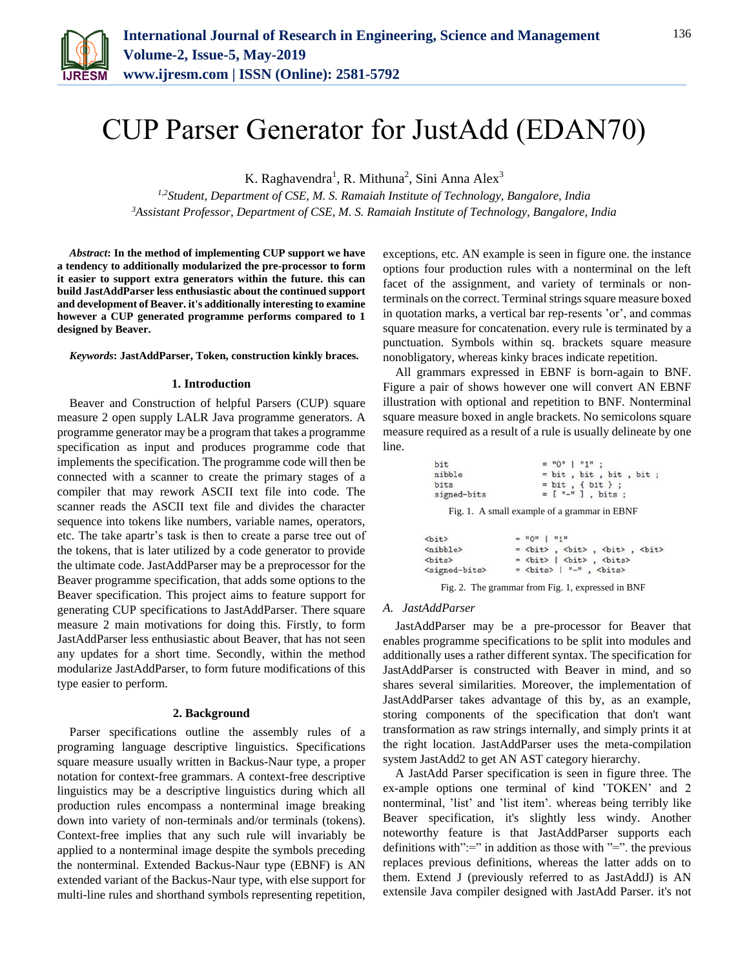

# CUP Parser Generator for JustAdd (EDAN70)

K. Raghavendra<sup>1</sup>, R. Mithuna<sup>2</sup>, Sini Anna Alex<sup>3</sup>

*1,2Student, Department of CSE, M. S. Ramaiah Institute of Technology, Bangalore, India 3Assistant Professor, Department of CSE, M. S. Ramaiah Institute of Technology, Bangalore, India*

*Abstract***: In the method of implementing CUP support we have a tendency to additionally modularized the pre-processor to form it easier to support extra generators within the future. this can build JastAddParser less enthusiastic about the continued support and development of Beaver. it's additionally interesting to examine however a CUP generated programme performs compared to 1 designed by Beaver.**

#### *Keywords***: JastAddParser, Token, construction kinkly braces.**

#### **1. Introduction**

Beaver and Construction of helpful Parsers (CUP) square measure 2 open supply LALR Java programme generators. A programme generator may be a program that takes a programme specification as input and produces programme code that implements the specification. The programme code will then be connected with a scanner to create the primary stages of a compiler that may rework ASCII text file into code. The scanner reads the ASCII text file and divides the character sequence into tokens like numbers, variable names, operators, etc. The take apartr's task is then to create a parse tree out of the tokens, that is later utilized by a code generator to provide the ultimate code. JastAddParser may be a preprocessor for the Beaver programme specification, that adds some options to the Beaver specification. This project aims to feature support for generating CUP specifications to JastAddParser. There square measure 2 main motivations for doing this. Firstly, to form JastAddParser less enthusiastic about Beaver, that has not seen any updates for a short time. Secondly, within the method modularize JastAddParser, to form future modifications of this type easier to perform.

#### **2. Background**

Parser specifications outline the assembly rules of a programing language descriptive linguistics. Specifications square measure usually written in Backus-Naur type, a proper notation for context-free grammars. A context-free descriptive linguistics may be a descriptive linguistics during which all production rules encompass a nonterminal image breaking down into variety of non-terminals and/or terminals (tokens). Context-free implies that any such rule will invariably be applied to a nonterminal image despite the symbols preceding the nonterminal. Extended Backus-Naur type (EBNF) is AN extended variant of the Backus-Naur type, with else support for multi-line rules and shorthand symbols representing repetition,

exceptions, etc. AN example is seen in figure one. the instance options four production rules with a nonterminal on the left facet of the assignment, and variety of terminals or nonterminals on the correct. Terminal strings square measure boxed in quotation marks, a vertical bar rep-resents 'or', and commas square measure for concatenation. every rule is terminated by a punctuation. Symbols within sq. brackets square measure nonobligatory, whereas kinky braces indicate repetition.

All grammars expressed in EBNF is born-again to BNF. Figure a pair of shows however one will convert AN EBNF illustration with optional and repetition to BNF. Nonterminal square measure boxed in angle brackets. No semicolons square measure required as a result of a rule is usually delineate by one line.

| bit         | $= 10^{11}$   $11^{11}$ : |
|-------------|---------------------------|
| nibble      | $= bit$ , bit, bit, bit;  |
| bits        | $= bit, { bit }$ ;        |
| signed-bits | $= [$ "-"], bits;         |

Fig. 1. A small example of a grammar in EBNF

| <bit></bit>                 | $=$ "0"   "1"                                                                                                                                                  |
|-----------------------------|----------------------------------------------------------------------------------------------------------------------------------------------------------------|
| <nibble></nibble>           |                                                                                                                                                                |
| $<$ bits $>$                | $=$<br>bit> $ $<br>bit> ,<br><br><br><br><br><br><br><br><br><br><br><br><br><br><br><br><br><br><br><br><br><br><br><br><br><br><br><br><br><br><br><br><br>< |
| <signed-bits></signed-bits> | $=$<br>bits>   "-" ,<br>bits>                                                                                                                                  |

Fig. 2. The grammar from Fig. 1, expressed in BNF

#### *A. JastAddParser*

JastAddParser may be a pre-processor for Beaver that enables programme specifications to be split into modules and additionally uses a rather different syntax. The specification for JastAddParser is constructed with Beaver in mind, and so shares several similarities. Moreover, the implementation of JastAddParser takes advantage of this by, as an example, storing components of the specification that don't want transformation as raw strings internally, and simply prints it at the right location. JastAddParser uses the meta-compilation system JastAdd2 to get AN AST category hierarchy.

A JastAdd Parser specification is seen in figure three. The ex-ample options one terminal of kind 'TOKEN' and 2 nonterminal, 'list' and 'list item'. whereas being terribly like Beaver specification, it's slightly less windy. Another noteworthy feature is that JastAddParser supports each definitions with":=" in addition as those with "=". the previous replaces previous definitions, whereas the latter adds on to them. Extend J (previously referred to as JastAddJ) is AN extensile Java compiler designed with JastAdd Parser. it's not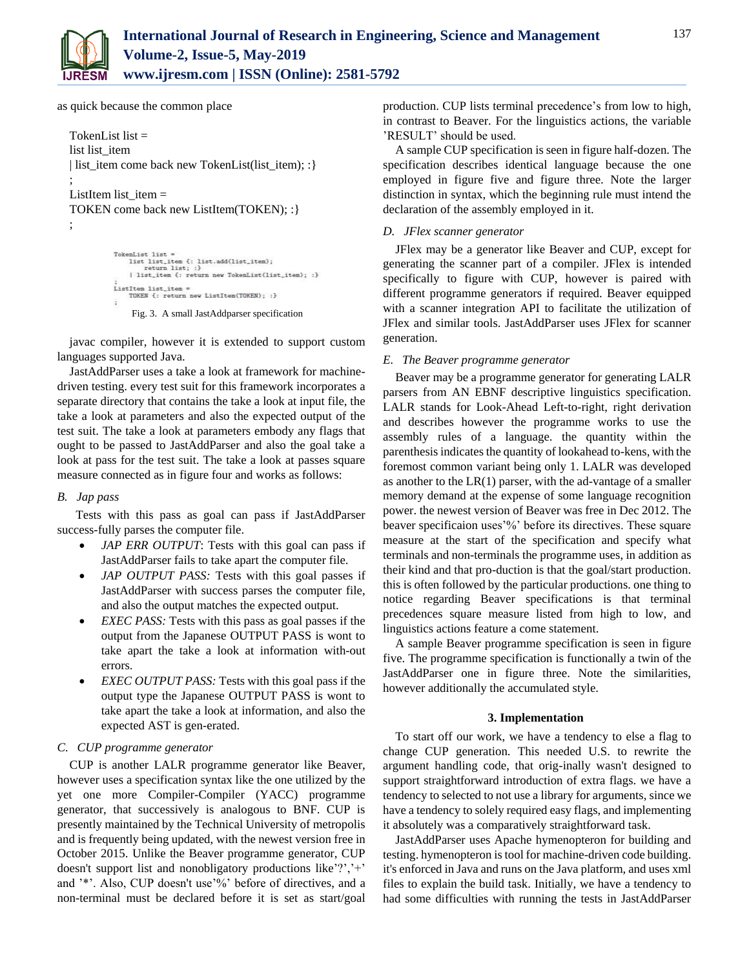

as quick because the common place

```
TokenList list =list list_item 
| list_item come back new TokenList(list_item); : }
;
ListItem list_item =TOKEN come back new ListItem(TOKEN); :}
;
```

```
TokenList list =<br>
list list =<br>
list list =<br>
return list; :}<br>
| list_item {: return new TokenList(list_item); :}<br>
| list_item {: return new TokenList(list_item); :}
ListItem list_item =
         TOKEN {: return new ListItem(TOKEN); :}
 g.
```
Fig. 3. A small JastAddparser specification

javac compiler, however it is extended to support custom languages supported Java.

JastAddParser uses a take a look at framework for machinedriven testing. every test suit for this framework incorporates a separate directory that contains the take a look at input file, the take a look at parameters and also the expected output of the test suit. The take a look at parameters embody any flags that ought to be passed to JastAddParser and also the goal take a look at pass for the test suit. The take a look at passes square measure connected as in figure four and works as follows:

# *B. Jap pass*

 Tests with this pass as goal can pass if JastAddParser success-fully parses the computer file.

- *JAP ERR OUTPUT*: Tests with this goal can pass if JastAddParser fails to take apart the computer file.
- *JAP OUTPUT PASS:* Tests with this goal passes if JastAddParser with success parses the computer file, and also the output matches the expected output.
- *EXEC PASS:* Tests with this pass as goal passes if the output from the Japanese OUTPUT PASS is wont to take apart the take a look at information with-out errors.
- *EXEC OUTPUT PASS:* Tests with this goal pass if the output type the Japanese OUTPUT PASS is wont to take apart the take a look at information, and also the expected AST is gen-erated.

# *C. CUP programme generator*

CUP is another LALR programme generator like Beaver, however uses a specification syntax like the one utilized by the yet one more Compiler-Compiler (YACC) programme generator, that successively is analogous to BNF. CUP is presently maintained by the Technical University of metropolis and is frequently being updated, with the newest version free in October 2015. Unlike the Beaver programme generator, CUP doesn't support list and nonobligatory productions like'?','+' and '\*'. Also, CUP doesn't use'%' before of directives, and a non-terminal must be declared before it is set as start/goal

production. CUP lists terminal precedence's from low to high, in contrast to Beaver. For the linguistics actions, the variable 'RESULT' should be used.

A sample CUP specification is seen in figure half-dozen. The specification describes identical language because the one employed in figure five and figure three. Note the larger distinction in syntax, which the beginning rule must intend the declaration of the assembly employed in it.

#### *D. JFlex scanner generator*

JFlex may be a generator like Beaver and CUP, except for generating the scanner part of a compiler. JFlex is intended specifically to figure with CUP, however is paired with different programme generators if required. Beaver equipped with a scanner integration API to facilitate the utilization of JFlex and similar tools. JastAddParser uses JFlex for scanner generation.

## *E. The Beaver programme generator*

Beaver may be a programme generator for generating LALR parsers from AN EBNF descriptive linguistics specification. LALR stands for Look-Ahead Left-to-right, right derivation and describes however the programme works to use the assembly rules of a language. the quantity within the parenthesis indicates the quantity of lookahead to-kens, with the foremost common variant being only 1. LALR was developed as another to the  $LR(1)$  parser, with the ad-vantage of a smaller memory demand at the expense of some language recognition power. the newest version of Beaver was free in Dec 2012. The beaver specificaion uses'%' before its directives. These square measure at the start of the specification and specify what terminals and non-terminals the programme uses, in addition as their kind and that pro-duction is that the goal/start production. this is often followed by the particular productions. one thing to notice regarding Beaver specifications is that terminal precedences square measure listed from high to low, and linguistics actions feature a come statement.

A sample Beaver programme specification is seen in figure five. The programme specification is functionally a twin of the JastAddParser one in figure three. Note the similarities, however additionally the accumulated style.

#### **3. Implementation**

To start off our work, we have a tendency to else a flag to change CUP generation. This needed U.S. to rewrite the argument handling code, that orig-inally wasn't designed to support straightforward introduction of extra flags. we have a tendency to selected to not use a library for arguments, since we have a tendency to solely required easy flags, and implementing it absolutely was a comparatively straightforward task.

JastAddParser uses Apache hymenopteron for building and testing. hymenopteron is tool for machine-driven code building. it's enforced in Java and runs on the Java platform, and uses xml files to explain the build task. Initially, we have a tendency to had some difficulties with running the tests in JastAddParser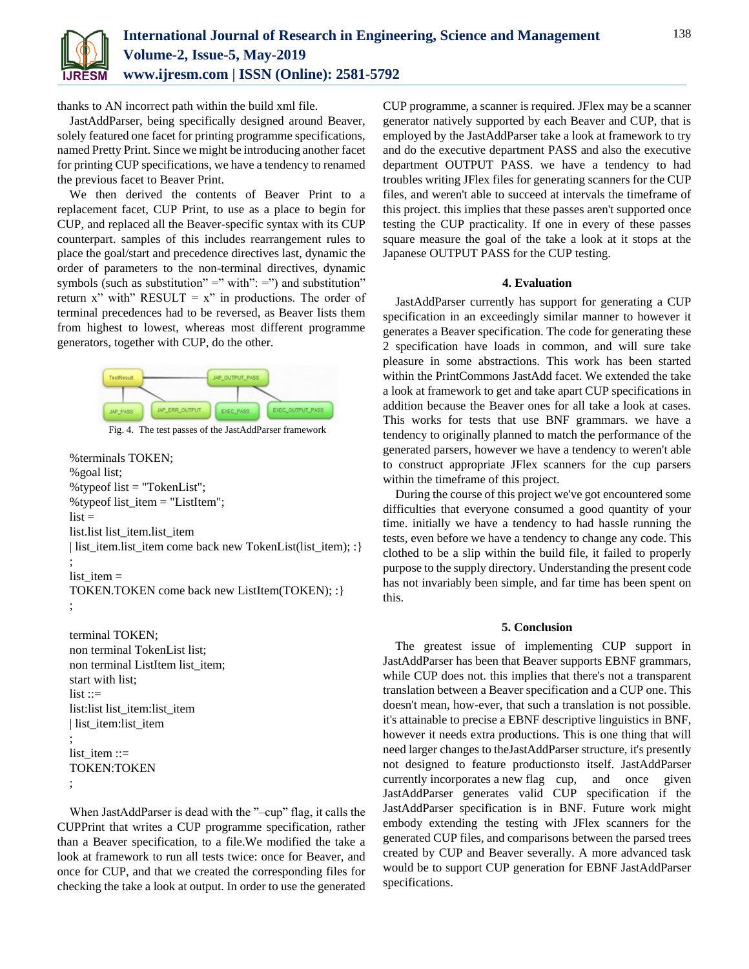

thanks to AN incorrect path within the build xml file.

JastAddParser, being specifically designed around Beaver, solely featured one facet for printing programme specifications, named Pretty Print. Since we might be introducing another facet for printing CUP specifications, we have a tendency to renamed the previous facet to Beaver Print.

We then derived the contents of Beaver Print to a replacement facet, CUP Print, to use as a place to begin for CUP, and replaced all the Beaver-specific syntax with its CUP counterpart. samples of this includes rearrangement rules to place the goal/start and precedence directives last, dynamic the order of parameters to the non-terminal directives, dynamic symbols (such as substitution" =" with":  $=$ ") and substitution" return x" with" RESULT =  $x$ " in productions. The order of terminal precedences had to be reversed, as Beaver lists them from highest to lowest, whereas most different programme generators, together with CUP, do the other.



Fig. 4. The test passes of the JastAddParser framework

%terminals TOKEN; %goal list; %typeof list = "TokenList"; %typeof list\_item = "ListItem";  $list =$ list.list list\_item.list\_item | list\_item.list\_item come back new TokenList(list\_item); :} ;  $list$ <sub>\_item</sub> = TOKEN.TOKEN come back new ListItem(TOKEN); :} ;

terminal TOKEN; non terminal TokenList list; non terminal ListItem list\_item; start with list;  $list ::=$ list:list list\_item:list\_item | list\_item:list\_item ; list\_item ::= TOKEN:TOKEN ;

When JastAddParser is dead with the "-cup" flag, it calls the CUPPrint that writes a CUP programme specification, rather than a Beaver specification, to a file.We modified the take a look at framework to run all tests twice: once for Beaver, and once for CUP, and that we created the corresponding files for checking the take a look at output. In order to use the generated

CUP programme, a scanner is required. JFlex may be a scanner generator natively supported by each Beaver and CUP, that is employed by the JastAddParser take a look at framework to try and do the executive department PASS and also the executive department OUTPUT PASS. we have a tendency to had troubles writing JFlex files for generating scanners for the CUP files, and weren't able to succeed at intervals the timeframe of this project. this implies that these passes aren't supported once testing the CUP practicality. If one in every of these passes square measure the goal of the take a look at it stops at the Japanese OUTPUT PASS for the CUP testing.

## **4. Evaluation**

JastAddParser currently has support for generating a CUP specification in an exceedingly similar manner to however it generates a Beaver specification. The code for generating these 2 specification have loads in common, and will sure take pleasure in some abstractions. This work has been started within the PrintCommons JastAdd facet. We extended the take a look at framework to get and take apart CUP specifications in addition because the Beaver ones for all take a look at cases. This works for tests that use BNF grammars. we have a tendency to originally planned to match the performance of the generated parsers, however we have a tendency to weren't able to construct appropriate JFlex scanners for the cup parsers within the timeframe of this project.

During the course of this project we've got encountered some difficulties that everyone consumed a good quantity of your time. initially we have a tendency to had hassle running the tests, even before we have a tendency to change any code. This clothed to be a slip within the build file, it failed to properly purpose to the supply directory. Understanding the present code has not invariably been simple, and far time has been spent on this.

# **5. Conclusion**

The greatest issue of implementing CUP support in JastAddParser has been that Beaver supports EBNF grammars, while CUP does not. this implies that there's not a transparent translation between a Beaver specification and a CUP one. This doesn't mean, how-ever, that such a translation is not possible. it's attainable to precise a EBNF descriptive linguistics in BNF, however it needs extra productions. This is one thing that will need larger changes to theJastAddParser structure, it's presently not designed to feature productionsto itself. JastAddParser currently incorporates a new flag cup, and once given JastAddParser generates valid CUP specification if the JastAddParser specification is in BNF. Future work might embody extending the testing with JFlex scanners for the generated CUP files, and comparisons between the parsed trees created by CUP and Beaver severally. A more advanced task would be to support CUP generation for EBNF JastAddParser specifications.